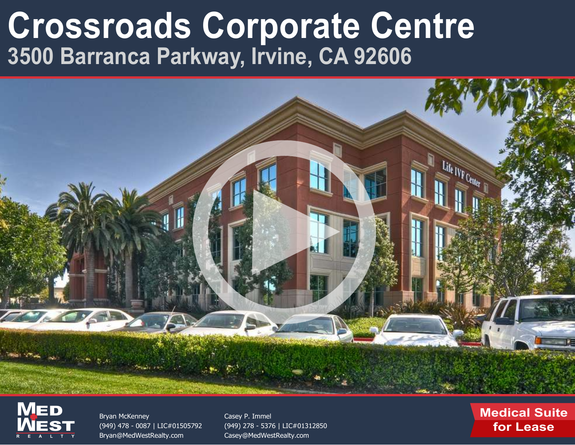



Bryan McKenney [\(949\) 478 - 0087 | LIC#01505792](mailto:Bryan@MedWestRealty.com) Bryan@MedWestRealty.com

Casey P. Immel [\(949\) 278 - 5376 | LIC#01312850](mailto:Casey@MedWestRealty.com) Casey@MedWestRealty.com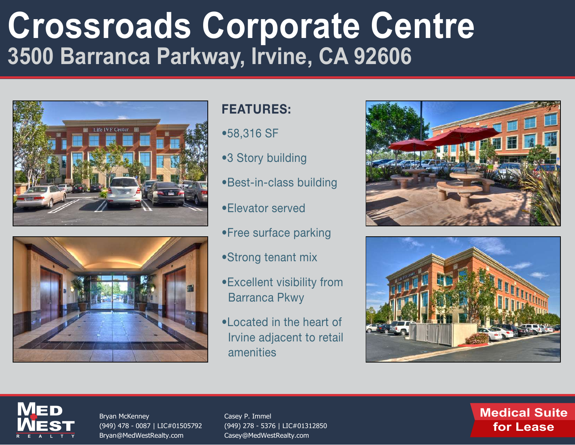



### FEATURES:

- •58,316 SF
- •3 Story building
- •Best-in-class building
- •Elevator served
- •Free surface parking
- •Strong tenant mix
- •Excellent visibility from Barranca Pkwy
- •Located in the heart of Irvine adjacent to retail amenities







Bryan McKenney [\(949\) 478 - 0087 | LIC#01505792](mailto:Bryan@MedWestRealty.com) Bryan@MedWestRealty.com

Casey P. Immel [\(949\) 278 - 5376 | LIC#01312850](mailto:Casey@MedWestRealty.com) Casey@MedWestRealty.com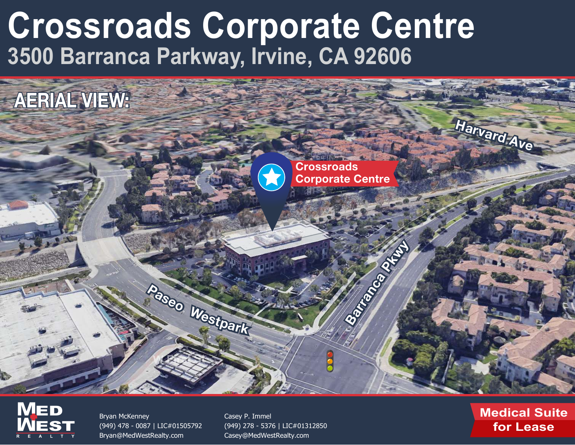



Bryan McKenney [\(949\) 478 - 0087 | LIC#01505792](mailto:Bryan@MedWestRealty.com) Bryan@MedWestRealty.com

Casey P. Immel [\(949\) 278 - 5376 | LIC#01312850](mailto:Casey@MedWestRealty.com) Casey@MedWestRealty.com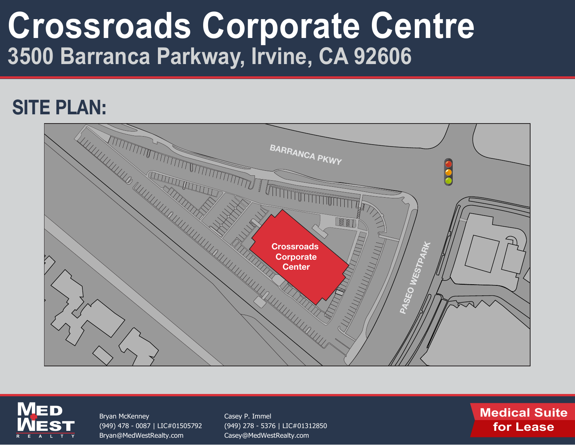### SITE PLAN:





Bryan McKenney [\(949\) 478 - 0087 | LIC#01505792](mailto:Bryan@MedWestRealty.com) Bryan@MedWestRealty.com

Casey P. Immel [\(949\) 278 - 5376 | LIC#01312850](mailto:Casey@MedWestRealty.com) Casey@MedWestRealty.com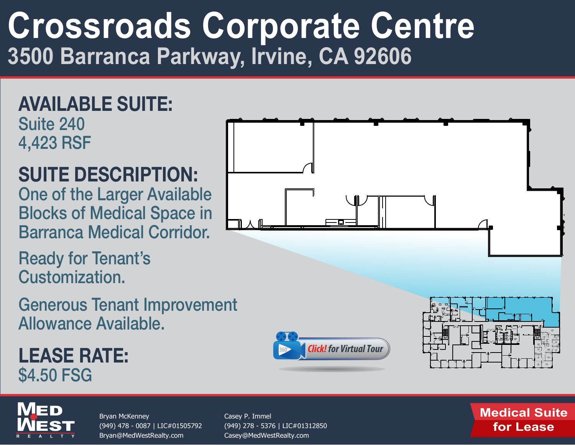### AVAILABLE SUITE: Suite 240 4,423 RSF

### SUITE DESCRIPTION:

One of the Larger Available Blocks of Medical Space in Barranca Medical Corridor.

Ready for Tenant's Customization.

Generous Tenant Improvement Allowance Available.

LEASE RATE: \$4.50 FSG

**M**

**M**

**EST** 

ED

**REALTY**

Bryan McKenney [\(949\) 478 - 0087 | LIC#01505792](mailto:Bryan@MedWestRealty.com) Bryan@MedWestRealty.com

Casey P. Immel [\(949\) 278 - 5376 | LIC#01312850](mailto:Casey@MedWestRealty.com) Casey@MedWestRealty.com